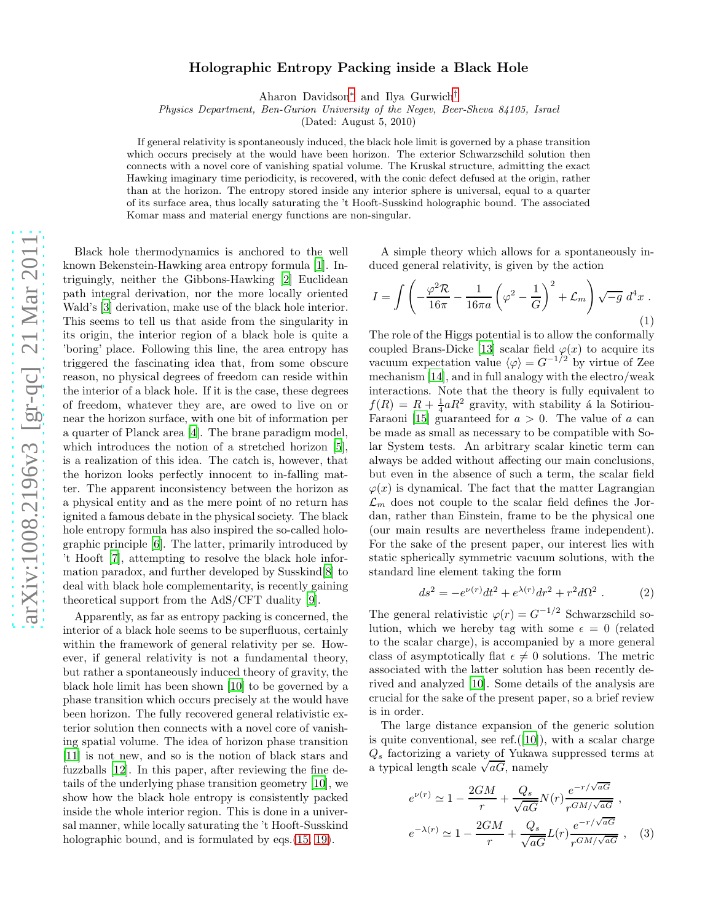## Holographic Entropy Packing inside a Black Hole

Aharon Davidson [∗](#page-3-0) and Ilya Gurwich [†](#page-3-1)

Physics Department, Ben-Gurion University of the Negev, Beer-Sheva 84105, Israel

(Dated: August 5, 2010)

If general relativity is spontaneously induced, the black hole limit is governed by a phase transition which occurs precisely at the would have been horizon. The exterior Schwarzschild solution then connects with a novel core of vanishing spatial volume. The Kruskal structure, admitting the exact Hawking imaginary time periodicity, is recovered, with the conic defect defused at the origin, rather than at the horizon. The entropy stored inside any interior sphere is universal, equal to a quarter of its surface area, thus locally saturating the 't Hooft-Susskind holographic bound. The associated Komar mass and material energy functions are non-singular.

Black hole thermodynamics is anchored to the well known Bekenstein-Hawking area entropy formula [\[1\]](#page-3-2). Intriguingly, neither the Gibbons-Hawking [\[2\]](#page-3-3) Euclidean path integral derivation, nor the more locally oriented Wald's [\[3\]](#page-3-4) derivation, make use of the black hole interior. This seems to tell us that aside from the singularity in its origin, the interior region of a black hole is quite a 'boring' place. Following this line, the area entropy has triggered the fascinating idea that, from some obscure reason, no physical degrees of freedom can reside within the interior of a black hole. If it is the case, these degrees of freedom, whatever they are, are owed to live on or near the horizon surface, with one bit of information per a quarter of Planck area [\[4\]](#page-3-5). The brane paradigm model, which introduces the notion of a stretched horizon [\[5\]](#page-3-6), is a realization of this idea. The catch is, however, that the horizon looks perfectly innocent to in-falling matter. The apparent inconsistency between the horizon as a physical entity and as the mere point of no return has ignited a famous debate in the physical society. The black hole entropy formula has also inspired the so-called holographic principle [\[6](#page-3-7)]. The latter, primarily introduced by 't Hooft [\[7](#page-3-8)], attempting to resolve the black hole information paradox, and further developed by Susskind[\[8\]](#page-3-9) to deal with black hole complementarity, is recently gaining theoretical support from the AdS/CFT duality [\[9](#page-3-10)].

Apparently, as far as entropy packing is concerned, the interior of a black hole seems to be superfluous, certainly within the framework of general relativity per se. However, if general relativity is not a fundamental theory, but rather a spontaneously induced theory of gravity, the black hole limit has been shown [\[10\]](#page-3-11) to be governed by a phase transition which occurs precisely at the would have been horizon. The fully recovered general relativistic exterior solution then connects with a novel core of vanishing spatial volume. The idea of horizon phase transition [\[11\]](#page-3-12) is not new, and so is the notion of black stars and fuzzballs [\[12\]](#page-3-13). In this paper, after reviewing the fine details of the underlying phase transition geometry [\[10](#page-3-11)], we show how the black hole entropy is consistently packed inside the whole interior region. This is done in a universal manner, while locally saturating the 't Hooft-Susskind holographic bound, and is formulated by eqs.  $(15, 19)$  $(15, 19)$ .

A simple theory which allows for a spontaneously induced general relativity, is given by the action

$$
I = \int \left( -\frac{\varphi^2 \mathcal{R}}{16\pi} - \frac{1}{16\pi a} \left( \varphi^2 - \frac{1}{G} \right)^2 + \mathcal{L}_m \right) \sqrt{-g} d^4 x .
$$
\n(1)

The role of the Higgs potential is to allow the conformally coupled Brans-Dicke [\[13\]](#page-3-15) scalar field  $\varphi(x)$  to acquire its vacuum expectation value  $\langle \varphi \rangle = G^{-1/2}$  by virtue of Zee mechanism [\[14\]](#page-3-16), and in full analogy with the electro/weak interactions. Note that the theory is fully equivalent to  $f(R) = R + \frac{1}{4} aR^2$  gravity, with stability á la Sotiriou-Faraoni [15] guaranteed for  $a > 0$ . The value of a can be made as small as necessary to be compatible with Solar System tests. An arbitrary scalar kinetic term can always be added without affecting our main conclusions, but even in the absence of such a term, the scalar field  $\varphi(x)$  is dynamical. The fact that the matter Lagrangian  $\mathcal{L}_m$  does not couple to the scalar field defines the Jordan, rather than Einstein, frame to be the physical one (our main results are nevertheless frame independent). For the sake of the present paper, our interest lies with static spherically symmetric vacuum solutions, with the standard line element taking the form

$$
ds^{2} = -e^{\nu(r)}dt^{2} + e^{\lambda(r)}dr^{2} + r^{2}d\Omega^{2} .
$$
 (2)

The general relativistic  $\varphi(r) = G^{-1/2}$  Schwarzschild solution, which we hereby tag with some  $\epsilon = 0$  (related to the scalar charge), is accompanied by a more general class of asymptotically flat  $\epsilon \neq 0$  solutions. The metric associated with the latter solution has been recently derived and analyzed [\[10](#page-3-11)]. Some details of the analysis are crucial for the sake of the present paper, so a brief review is in order.

The large distance expansion of the generic solution is quite conventional, see ref. $([10])$  $([10])$  $([10])$ , with a scalar charge  $Q_s$  factorizing a variety of Yukawa suppressed terms at a typical length scale  $\sqrt{aG}$ , namely

$$
e^{\nu(r)} \simeq 1 - \frac{2GM}{r} + \frac{Q_s}{\sqrt{aG}} N(r) \frac{e^{-r/\sqrt{aG}}}{r^{GM/\sqrt{aG}}},
$$

$$
e^{-\lambda(r)} \simeq 1 - \frac{2GM}{r} + \frac{Q_s}{\sqrt{aG}} L(r) \frac{e^{-r/\sqrt{aG}}}{r^{GM/\sqrt{aG}}},
$$
(3)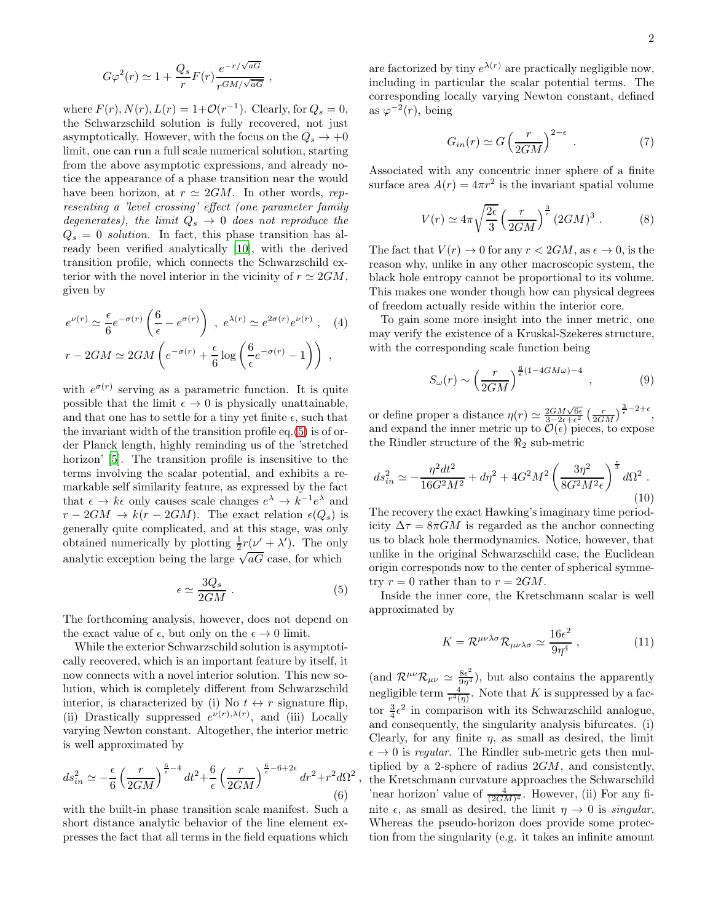$$
G\varphi^2(r) \simeq 1 + \frac{Q_s}{r}F(r)\frac{e^{-r/\sqrt{aG}}}{r^{GM/\sqrt{aG}}},
$$

where  $F(r)$ ,  $N(r)$ ,  $L(r) = 1 + \mathcal{O}(r^{-1})$ . Clearly, for  $Q_s = 0$ , the Schwarzschild solution is fully recovered, not just asymptotically. However, with the focus on the  $Q_s \rightarrow +0$ limit, one can run a full scale numerical solution, starting from the above asymptotic expressions, and already notice the appearance of a phase transition near the would have been horizon, at  $r \simeq 2GM$ . In other words, representing a 'level crossing' effect (one parameter family degenerates), the limit  $Q_s \rightarrow 0$  does not reproduce the  $Q_s = 0$  solution. In fact, this phase transition has already been verified analytically [\[10](#page-3-11)], with the derived transition profile, which connects the Schwarzschild exterior with the novel interior in the vicinity of  $r \simeq 2GM$ , given by

<span id="page-1-0"></span>
$$
e^{\nu(r)} \simeq \frac{\epsilon}{6} e^{-\sigma(r)} \left( \frac{6}{\epsilon} - e^{\sigma(r)} \right) , e^{\lambda(r)} \simeq e^{2\sigma(r)} e^{\nu(r)} , \quad (4)
$$

$$
r - 2GM \simeq 2GM \left( e^{-\sigma(r)} + \frac{\epsilon}{6} \log \left( \frac{6}{\epsilon} e^{-\sigma(r)} - 1 \right) \right) ,
$$

with  $e^{\sigma(r)}$  serving as a parametric function. It is quite possible that the limit  $\epsilon \to 0$  is physically unattainable, and that one has to settle for a tiny yet finite  $\epsilon$ , such that the invariant width of the transition profile eq.[\(5\)](#page-1-0) is of order Planck length, highly reminding us of the 'stretched horizon' [\[5\]](#page-3-6). The transition profile is insensitive to the terms involving the scalar potential, and exhibits a remarkable self similarity feature, as expressed by the fact that  $\epsilon \to k\epsilon$  only causes scale changes  $e^{\lambda} \to k^{-1}e^{\lambda}$  and  $r - 2GM \rightarrow k(r - 2GM)$ . The exact relation  $\epsilon(Q_s)$  is generally quite complicated, and at this stage, was only obtained numerically by plotting  $\frac{1}{2}r(\nu' + \lambda')$ . The only analytic exception being the large  $\sqrt{aG}$  case, for which

$$
\epsilon \simeq \frac{3Q_s}{2GM} \ . \tag{5}
$$

,

The forthcoming analysis, however, does not depend on the exact value of  $\epsilon$ , but only on the  $\epsilon \to 0$  limit.

While the exterior Schwarzschild solution is asymptotically recovered, which is an important feature by itself, it now connects with a novel interior solution. This new solution, which is completely different from Schwarzschild interior, is characterized by (i) No  $t \leftrightarrow r$  signature flip, (ii) Drastically suppressed  $e^{\nu(r),\lambda(r)}$ , and (iii) Locally varying Newton constant. Altogether, the interior metric is well approximated by

<span id="page-1-1"></span>
$$
ds_{in}^2 \simeq -\frac{\epsilon}{6} \left(\frac{r}{2GM}\right)^{\frac{6}{\epsilon}-4} dt^2 + \frac{6}{\epsilon} \left(\frac{r}{2GM}\right)^{\frac{6}{\epsilon}-6+2\epsilon} dr^2 + r^2 d\Omega^2
$$
\n(6)

with the built-in phase transition scale manifest. Such a short distance analytic behavior of the line element expresses the fact that all terms in the field equations which

are factorized by tiny  $e^{\lambda(r)}$  are practically negligible now, including in particular the scalar potential terms. The corresponding locally varying Newton constant, defined as  $\varphi^{-2}(r)$ , being

$$
G_{in}(r) \simeq G\left(\frac{r}{2GM}\right)^{2-\epsilon} . \tag{7}
$$

Associated with any concentric inner sphere of a finite surface area  $A(r) = 4\pi r^2$  is the invariant spatial volume

$$
V(r) \simeq 4\pi \sqrt{\frac{2\epsilon}{3}} \left(\frac{r}{2GM}\right)^{\frac{3}{\epsilon}} (2GM)^3 . \tag{8}
$$

The fact that  $V(r) \to 0$  for any  $r < 2GM$ , as  $\epsilon \to 0$ , is the reason why, unlike in any other macroscopic system, the black hole entropy cannot be proportional to its volume. This makes one wonder though how can physical degrees of freedom actually reside within the interior core.

To gain some more insight into the inner metric, one may verify the existence of a Kruskal-Szekeres structure, with the corresponding scale function being

$$
S_{\omega}(r) \sim \left(\frac{r}{2GM}\right)^{\frac{6}{\epsilon}(1-4GM\omega)-4},\tag{9}
$$

or define proper a distance  $\eta(r) \simeq \frac{2GM\sqrt{6\epsilon}}{3\sqrt{2\epsilon+\epsilon^2}} \left(\frac{r}{2GM}\right)^{\frac{3}{\epsilon}-2+\epsilon}$ , and expand the inner metric up to  $\mathcal{O}(\epsilon)$  pieces, to expose the Rindler structure of the  $\Re_2$  sub-metric

<span id="page-1-2"></span>
$$
ds_{in}^{2} \simeq -\frac{\eta^{2}dt^{2}}{16G^{2}M^{2}} + d\eta^{2} + 4G^{2}M^{2} \left(\frac{3\eta^{2}}{8G^{2}M^{2}\epsilon}\right)^{\frac{\epsilon}{3}}d\Omega^{2} . \tag{10}
$$

The recovery the exact Hawking's imaginary time periodicity  $\Delta \tau = 8\pi GM$  is regarded as the anchor connecting us to black hole thermodynamics. Notice, however, that unlike in the original Schwarzschild case, the Euclidean origin corresponds now to the center of spherical symmetry  $r = 0$  rather than to  $r = 2GM$ .

Inside the inner core, the Kretschmann scalar is well approximated by

$$
K = \mathcal{R}^{\mu\nu\lambda\sigma} \mathcal{R}_{\mu\nu\lambda\sigma} \simeq \frac{16\epsilon^2}{9\eta^4} \,, \tag{11}
$$

(and  $\mathcal{R}^{\mu\nu}\mathcal{R}_{\mu\nu} \simeq \frac{8\epsilon^2}{9\eta^4}$ ), but also contains the apparently negligible term  $\frac{4}{r^4(\eta)}$ . Note that K is suppressed by a factor  $\frac{3}{4}\epsilon^2$  in comparison with its Schwarzschild analogue, and consequently, the singularity analysis bifurcates. (i) Clearly, for any finite  $\eta$ , as small as desired, the limit  $\epsilon \to 0$  is regular. The Rindler sub-metric gets then multiplied by a 2-sphere of radius  $2GM$ , and consistently, the Kretschmann curvature approaches the Schwarschild 'near horizon' value of  $\frac{4}{(2GM)^4}$ . However, (ii) For any finite  $\epsilon$ , as small as desired, the limit  $\eta \to 0$  is *singular*. Whereas the pseudo-horizon does provide some protection from the singularity (e.g. it takes an infinite amount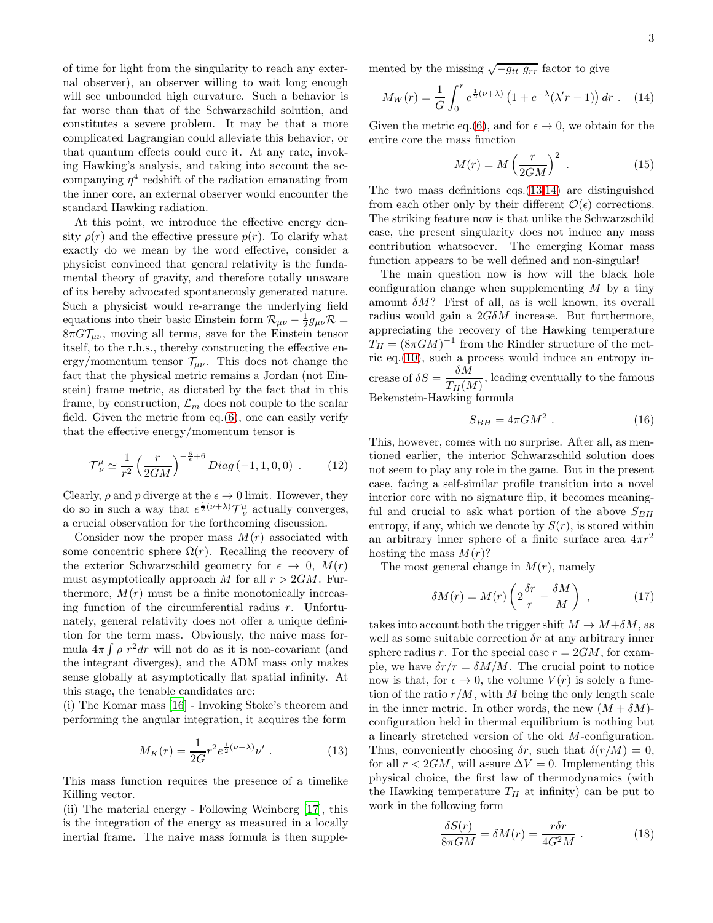of time for light from the singularity to reach any external observer), an observer willing to wait long enough will see unbounded high curvature. Such a behavior is far worse than that of the Schwarzschild solution, and constitutes a severe problem. It may be that a more complicated Lagrangian could alleviate this behavior, or that quantum effects could cure it. At any rate, invoking Hawking's analysis, and taking into account the accompanying  $\eta^4$  redshift of the radiation emanating from the inner core, an external observer would encounter the standard Hawking radiation.

At this point, we introduce the effective energy density  $\rho(r)$  and the effective pressure  $p(r)$ . To clarify what exactly do we mean by the word effective, consider a physicist convinced that general relativity is the fundamental theory of gravity, and therefore totally unaware of its hereby advocated spontaneously generated nature. Such a physicist would re-arrange the underlying field equations into their basic Einstein form  $\mathcal{R}_{\mu\nu} - \frac{1}{2}g_{\mu\nu}\mathcal{R} =$  $8\pi G\mathcal{T}_{\mu\nu}$ , moving all terms, save for the Einstein tensor itself, to the r.h.s., thereby constructing the effective energy/momentum tensor  $\mathcal{T}_{\mu\nu}$ . This does not change the fact that the physical metric remains a Jordan (not Einstein) frame metric, as dictated by the fact that in this frame, by construction,  $\mathcal{L}_m$  does not couple to the scalar field. Given the metric from eq.[\(6\)](#page-1-1), one can easily verify that the effective energy/momentum tensor is

$$
\mathcal{T}^{\mu}_{\nu} \simeq \frac{1}{r^2} \left( \frac{r}{2GM} \right)^{-\frac{6}{\epsilon}+6} Diag \left( -1, 1, 0, 0 \right) . \tag{12}
$$

Clearly,  $\rho$  and p diverge at the  $\epsilon \to 0$  limit. However, they do so in such a way that  $e^{\frac{1}{2}(\nu+\lambda)}\mathcal{T}^{\mu}_{\nu}$  actually converges, a crucial observation for the forthcoming discussion.

Consider now the proper mass  $M(r)$  associated with some concentric sphere  $\Omega(r)$ . Recalling the recovery of the exterior Schwarzschild geometry for  $\epsilon \to 0$ ,  $M(r)$ must asymptotically approach M for all  $r > 2GM$ . Furthermore,  $M(r)$  must be a finite monotonically increasing function of the circumferential radius  $r$ . Unfortunately, general relativity does not offer a unique definition for the term mass. Obviously, the naive mass formula  $4\pi \int \rho r^2 dr$  will not do as it is non-covariant (and the integrant diverges), and the ADM mass only makes sense globally at asymptotically flat spatial infinity. At this stage, the tenable candidates are:

(i) The Komar mass [\[16](#page-3-17)] - Invoking Stoke's theorem and performing the angular integration, it acquires the form

<span id="page-2-1"></span>
$$
M_K(r) = \frac{1}{2G} r^2 e^{\frac{1}{2}(\nu - \lambda)} \nu' . \tag{13}
$$

This mass function requires the presence of a timelike Killing vector.

(ii) The material energy - Following Weinberg [\[17\]](#page-3-18), this is the integration of the energy as measured in a locally inertial frame. The naive mass formula is then supplemented by the missing  $\sqrt{-g_{tt} g_{rr}}$  factor to give

<span id="page-2-2"></span>
$$
M_W(r) = \frac{1}{G} \int_0^r e^{\frac{1}{2}(\nu + \lambda)} \left( 1 + e^{-\lambda} (\lambda' r - 1) \right) dr \ . \tag{14}
$$

Given the metric eq.[\(6\)](#page-1-1), and for  $\epsilon \to 0$ , we obtain for the entire core the mass function

<span id="page-2-0"></span>
$$
M(r) = M\left(\frac{r}{2GM}\right)^2 \tag{15}
$$

The two mass definitions eqs.[\(13](#page-2-1)[,14\)](#page-2-2) are distinguished from each other only by their different  $\mathcal{O}(\epsilon)$  corrections. The striking feature now is that unlike the Schwarzschild case, the present singularity does not induce any mass contribution whatsoever. The emerging Komar mass function appears to be well defined and non-singular!

The main question now is how will the black hole configuration change when supplementing  $M$  by a tiny amount  $\delta M$ ? First of all, as is well known, its overall radius would gain a  $2G\delta M$  increase. But furthermore, appreciating the recovery of the Hawking temperature  $T_H = (8\pi GM)^{-1}$  from the Rindler structure of the metric eq.[\(10\)](#page-1-2), such a process would induce an entropy increase of  $\delta S = \frac{\delta M}{\delta G}$  $\frac{\sqrt{GM}}{T_H(M)}$ , leading eventually to the famous Bekenstein-Hawking formula

$$
S_{BH} = 4\pi GM^2 \ . \tag{16}
$$

This, however, comes with no surprise. After all, as mentioned earlier, the interior Schwarzschild solution does not seem to play any role in the game. But in the present case, facing a self-similar profile transition into a novel interior core with no signature flip, it becomes meaningful and crucial to ask what portion of the above  $S_{BH}$ entropy, if any, which we denote by  $S(r)$ , is stored within an arbitrary inner sphere of a finite surface area  $4\pi r^2$ hosting the mass  $M(r)$ ?

The most general change in  $M(r)$ , namely

$$
\delta M(r) = M(r) \left( 2\frac{\delta r}{r} - \frac{\delta M}{M} \right) , \qquad (17)
$$

takes into account both the trigger shift  $M \to M + \delta M$ , as well as some suitable correction  $\delta r$  at any arbitrary inner sphere radius r. For the special case  $r = 2GM$ , for example, we have  $\delta r/r = \delta M/M$ . The crucial point to notice now is that, for  $\epsilon \to 0$ , the volume  $V(r)$  is solely a function of the ratio  $r/M$ , with M being the only length scale in the inner metric. In other words, the new  $(M + \delta M)$ configuration held in thermal equilibrium is nothing but a linearly stretched version of the old M-configuration. Thus, conveniently choosing  $\delta r$ , such that  $\delta (r/M) = 0$ , for all  $r < 2GM$ , will assure  $\Delta V = 0$ . Implementing this physical choice, the first law of thermodynamics (with the Hawking temperature  $T_H$  at infinity) can be put to work in the following form

$$
\frac{\delta S(r)}{8\pi GM} = \delta M(r) = \frac{r\delta r}{4G^2M} \ . \tag{18}
$$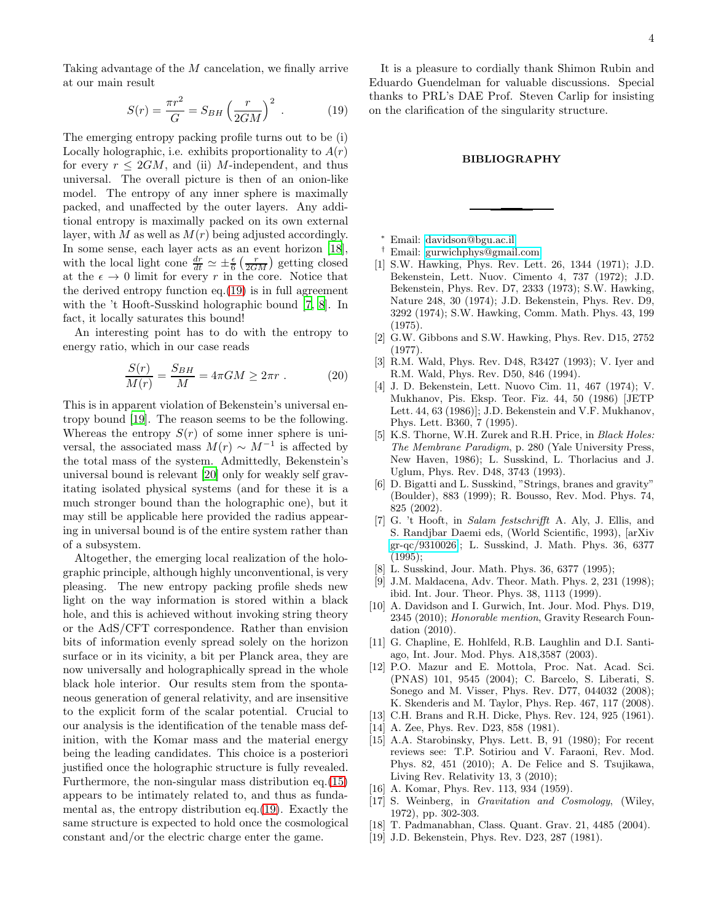<span id="page-3-14"></span>
$$
S(r) = \frac{\pi r^2}{G} = S_{BH} \left(\frac{r}{2GM}\right)^2 \tag{19}
$$

The emerging entropy packing profile turns out to be (i) Locally holographic, i.e. exhibits proportionality to  $A(r)$ for every  $r \leq 2GM$ , and (ii) M-independent, and thus universal. The overall picture is then of an onion-like model. The entropy of any inner sphere is maximally packed, and unaffected by the outer layers. Any additional entropy is maximally packed on its own external layer, with  $M$  as well as  $M(r)$  being adjusted accordingly. In some sense, each layer acts as an event horizon [\[18\]](#page-3-19), with the local light cone  $\frac{dr}{dt} \simeq \pm \frac{\epsilon}{6} \left( \frac{r}{2GM} \right)$  getting closed at the  $\epsilon \to 0$  limit for every r in the core. Notice that the derived entropy function eq.[\(19\)](#page-3-14) is in full agreement with the 't Hooft-Susskind holographic bound [\[7](#page-3-8), [8\]](#page-3-9). In fact, it locally saturates this bound!

An interesting point has to do with the entropy to energy ratio, which in our case reads

$$
\frac{S(r)}{M(r)} = \frac{S_{BH}}{M} = 4\pi GM \ge 2\pi r \ . \tag{20}
$$

This is in apparent violation of Bekenstein's universal entropy bound [\[19](#page-3-20)]. The reason seems to be the following. Whereas the entropy  $S(r)$  of some inner sphere is universal, the associated mass  $M(r) \sim M^{-1}$  is affected by the total mass of the system. Admittedly, Bekenstein's universal bound is relevant [\[20\]](#page-4-0) only for weakly self gravitating isolated physical systems (and for these it is a much stronger bound than the holographic one), but it may still be applicable here provided the radius appearing in universal bound is of the entire system rather than of a subsystem.

Altogether, the emerging local realization of the holographic principle, although highly unconventional, is very pleasing. The new entropy packing profile sheds new light on the way information is stored within a black hole, and this is achieved without invoking string theory or the AdS/CFT correspondence. Rather than envision bits of information evenly spread solely on the horizon surface or in its vicinity, a bit per Planck area, they are now universally and holographically spread in the whole black hole interior. Our results stem from the spontaneous generation of general relativity, and are insensitive to the explicit form of the scalar potential. Crucial to our analysis is the identification of the tenable mass definition, with the Komar mass and the material energy being the leading candidates. This choice is a posteriori justified once the holographic structure is fully revealed. Furthermore, the non-singular mass distribution eq.[\(15\)](#page-2-0) appears to be intimately related to, and thus as fundamental as, the entropy distribution eq.[\(19\)](#page-3-14). Exactly the same structure is expected to hold once the cosmological constant and/or the electric charge enter the game.

It is a pleasure to cordially thank Shimon Rubin and Eduardo Guendelman for valuable discussions. Special thanks to PRL's DAE Prof. Steven Carlip for insisting on the clarification of the singularity structure.

## BIBLIOGRAPHY

- <sup>∗</sup> Email: [davidson@bgu.ac.il](mailto:davidson@bgu.ac.il)
- <span id="page-3-1"></span><span id="page-3-0"></span>† Email: [gurwichphys@gmail.com](mailto:gurwichphys@gmail.com)
- <span id="page-3-2"></span>[1] S.W. Hawking, Phys. Rev. Lett. 26, 1344 (1971); J.D. Bekenstein, Lett. Nuov. Cimento 4, 737 (1972); J.D. Bekenstein, Phys. Rev. D7, 2333 (1973); S.W. Hawking, Nature 248, 30 (1974); J.D. Bekenstein, Phys. Rev. D9, 3292 (1974); S.W. Hawking, Comm. Math. Phys. 43, 199 (1975).
- <span id="page-3-3"></span>[2] G.W. Gibbons and S.W. Hawking, Phys. Rev. D15, 2752 (1977).
- <span id="page-3-4"></span>[3] R.M. Wald, Phys. Rev. D48, R3427 (1993); V. Iyer and R.M. Wald, Phys. Rev. D50, 846 (1994).
- <span id="page-3-5"></span>[4] J. D. Bekenstein, Lett. Nuovo Cim. 11, 467 (1974); V. Mukhanov, Pis. Eksp. Teor. Fiz. 44, 50 (1986) [JETP Lett. 44, 63 (1986)]; J.D. Bekenstein and V.F. Mukhanov, Phys. Lett. B360, 7 (1995).
- <span id="page-3-6"></span>[5] K.S. Thorne, W.H. Zurek and R.H. Price, in Black Holes: The Membrane Paradigm, p. 280 (Yale University Press, New Haven, 1986); L. Susskind, L. Thorlacius and J. Uglum, Phys. Rev. D48, 3743 (1993).
- <span id="page-3-7"></span>[6] D. Bigatti and L. Susskind, "Strings, branes and gravity" (Boulder), 883 (1999); R. Bousso, Rev. Mod. Phys. 74, 825 (2002).
- <span id="page-3-8"></span>[7] G. 't Hooft, in Salam festschrifft A. Aly, J. Ellis, and S. Randjbar Daemi eds, (World Scientific, 1993), [arXiv [gr-qc/9310026\]](http://arxiv.org/abs/gr-qc/9310026); L. Susskind, J. Math. Phys. 36, 6377 (1995);
- <span id="page-3-9"></span>[8] L. Susskind, Jour. Math. Phys. 36, 6377 (1995);
- <span id="page-3-10"></span>[9] J.M. Maldacena, Adv. Theor. Math. Phys. 2, 231 (1998); ibid. Int. Jour. Theor. Phys. 38, 1113 (1999).
- <span id="page-3-11"></span>[10] A. Davidson and I. Gurwich, Int. Jour. Mod. Phys. D19, 2345 (2010); Honorable mention, Gravity Research Foundation (2010).
- <span id="page-3-12"></span>[11] G. Chapline, E. Hohlfeld, R.B. Laughlin and D.I. Santiago, Int. Jour. Mod. Phys. A18,3587 (2003).
- <span id="page-3-13"></span>[12] P.O. Mazur and E. Mottola, Proc. Nat. Acad. Sci. (PNAS) 101, 9545 (2004); C. Barcelo, S. Liberati, S. Sonego and M. Visser, Phys. Rev. D77, 044032 (2008); K. Skenderis and M. Taylor, Phys. Rep. 467, 117 (2008).
- <span id="page-3-15"></span>[13] C.H. Brans and R.H. Dicke, Phys. Rev. 124, 925 (1961).
- <span id="page-3-16"></span>[14] A. Zee, Phys. Rev. D23, 858 (1981).
- [15] A.A. Starobinsky, Phys. Lett. B, 91 (1980); For recent reviews see: T.P. Sotiriou and V. Faraoni, Rev. Mod. Phys. 82, 451 (2010); A. De Felice and S. Tsujikawa, Living Rev. Relativity 13, 3 (2010);
- <span id="page-3-17"></span>[16] A. Komar, Phys. Rev. 113, 934 (1959).
- <span id="page-3-18"></span>[17] S. Weinberg, in Gravitation and Cosmology, (Wiley, 1972), pp. 302-303.
- <span id="page-3-19"></span>[18] T. Padmanabhan, Class. Quant. Grav. 21, 4485 (2004).
- <span id="page-3-20"></span>[19] J.D. Bekenstein, Phys. Rev. D23, 287 (1981).